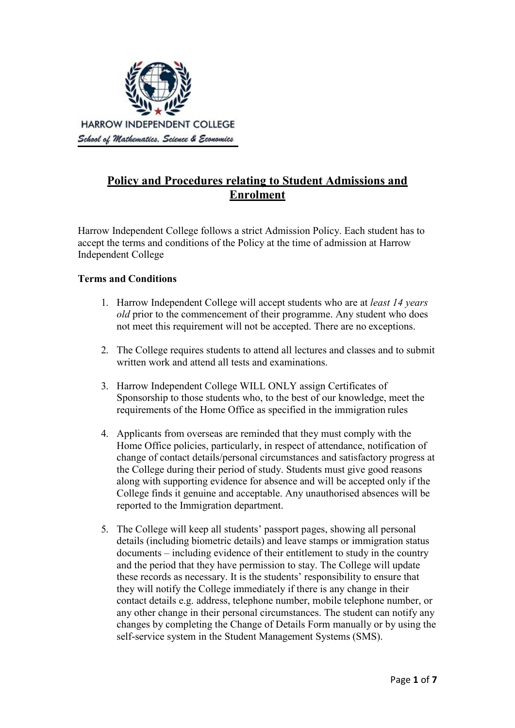

# **Policy and Procedures relating to Student Admissions and Enrolment**

Harrow Independent College follows a strict Admission Policy. Each student has to accept the terms and conditions of the Policy at the time of admission at Harrow Independent College

# **Terms and Conditions**

- 1. Harrow Independent College will accept students who are at *least 14 years old* prior to the commencement of their programme. Any student who does not meet this requirement will not be accepted. There are no exceptions.
- 2. The College requires students to attend all lectures and classes and to submit written work and attend all tests and examinations.
- 3. Harrow Independent College WILL ONLY assign Certificates of Sponsorship to those students who, to the best of our knowledge, meet the requirements of the Home Office as specified in the immigration rules
- 4. Applicants from overseas are reminded that they must comply with the Home Office policies, particularly, in respect of attendance, notification of change of contact details/personal circumstances and satisfactory progress at the College during their period of study. Students must give good reasons along with supporting evidence for absence and will be accepted only if the College finds it genuine and acceptable. Any unauthorised absences will be reported to the Immigration department.
- 5. The College will keep all students' passport pages, showing all personal details (including biometric details) and leave stamps or immigration status documents – including evidence of their entitlement to study in the country and the period that they have permission to stay. The College will update these records as necessary. It is the students' responsibility to ensure that they will notify the College immediately if there is any change in their contact details e.g. address, telephone number, mobile telephone number, or any other change in their personal circumstances. The student can notify any changes by completing the Change of Details Form manually or by using the self-service system in the Student Management Systems (SMS).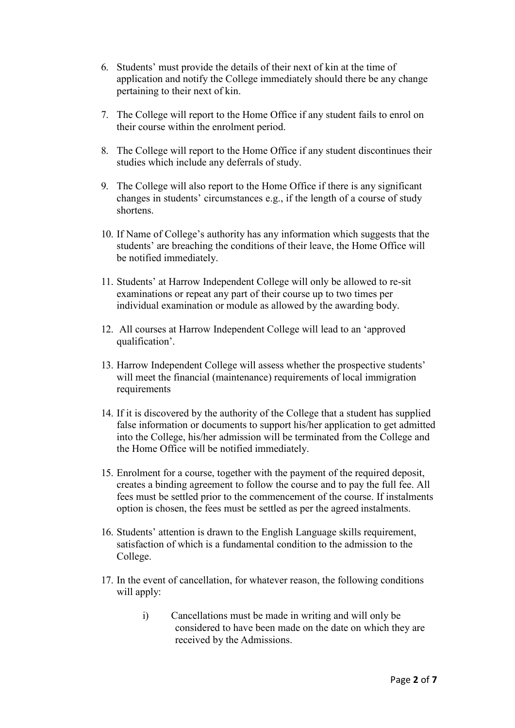- 6. Students' must provide the details of their next of kin at the time of application and notify the College immediately should there be any change pertaining to their next of kin.
- 7. The College will report to the Home Office if any student fails to enrol on their course within the enrolment period.
- 8. The College will report to the Home Office if any student discontinues their studies which include any deferrals of study.
- 9. The College will also report to the Home Office if there is any significant changes in students' circumstances e.g., if the length of a course of study shortens.
- 10. If Name of College's authority has any information which suggests that the students' are breaching the conditions of their leave, the Home Office will be notified immediately.
- 11. Students' at Harrow Independent College will only be allowed to re-sit examinations or repeat any part of their course up to two times per individual examination or module as allowed by the awarding body.
- 12. All courses at Harrow Independent College will lead to an 'approved qualification'.
- 13. Harrow Independent College will assess whether the prospective students' will meet the financial (maintenance) requirements of local immigration requirements
- 14. If it is discovered by the authority of the College that a student has supplied false information or documents to support his/her application to get admitted into the College, his/her admission will be terminated from the College and the Home Office will be notified immediately.
- 15. Enrolment for a course, together with the payment of the required deposit, creates a binding agreement to follow the course and to pay the full fee. All fees must be settled prior to the commencement of the course. If instalments option is chosen, the fees must be settled as per the agreed instalments.
- 16. Students' attention is drawn to the English Language skills requirement, satisfaction of which is a fundamental condition to the admission to the College.
- 17. In the event of cancellation, for whatever reason, the following conditions will apply:
	- i) Cancellations must be made in writing and will only be considered to have been made on the date on which they are received by the Admissions.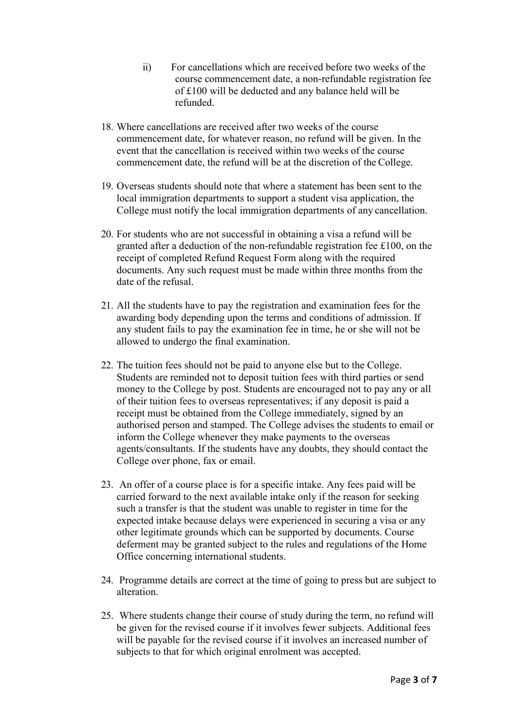- ii) For cancellations which are received before two weeks of the course commencement date, a non-refundable registration fee of £100 will be deducted and any balance held will be refunded.
- 18. Where cancellations are received after two weeks of the course commencement date, for whatever reason, no refund will be given. In the event that the cancellation is received within two weeks of the course commencement date, the refund will be at the discretion of the College.
- 19. Overseas students should note that where a statement has been sent to the local immigration departments to support a student visa application, the College must notify the local immigration departments of any cancellation.
- 20. For students who are not successful in obtaining a visa a refund will be granted after a deduction of the non-refundable registration fee £100, on the receipt of completed Refund Request Form along with the required documents. Any such request must be made within three months from the date of the refusal.
- 21. All the students have to pay the registration and examination fees for the awarding body depending upon the terms and conditions of admission. If any student fails to pay the examination fee in time, he or she will not be allowed to undergo the final examination.
- 22. The tuition fees should not be paid to anyone else but to the College. Students are reminded not to deposit tuition fees with third parties or send money to the College by post. Students are encouraged not to pay any or all of their tuition fees to overseas representatives; if any deposit is paid a receipt must be obtained from the College immediately, signed by an authorised person and stamped. The College advises the students to email or inform the College whenever they make payments to the overseas agents/consultants. If the students have any doubts, they should contact the College over phone, fax or email.
- 23. An offer of a course place is for a specific intake. Any fees paid will be carried forward to the next available intake only if the reason for seeking such a transfer is that the student was unable to register in time for the expected intake because delays were experienced in securing a visa or any other legitimate grounds which can be supported by documents. Course deferment may be granted subject to the rules and regulations of the Home Office concerning international students.
- 24. Programme details are correct at the time of going to press but are subject to alteration.
- 25. Where students change their course of study during the term, no refund will be given for the revised course if it involves fewer subjects. Additional fees will be payable for the revised course if it involves an increased number of subjects to that for which original enrolment was accepted.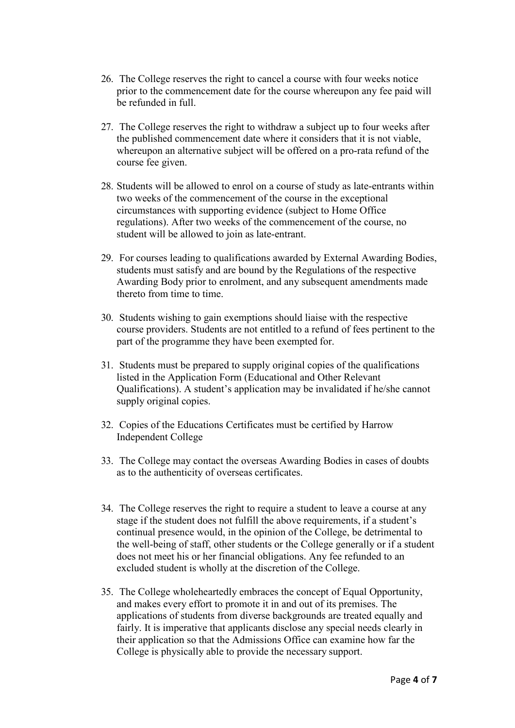- 26. The College reserves the right to cancel a course with four weeks notice prior to the commencement date for the course whereupon any fee paid will be refunded in full.
- 27. The College reserves the right to withdraw a subject up to four weeks after the published commencement date where it considers that it is not viable, whereupon an alternative subject will be offered on a pro-rata refund of the course fee given.
- 28. Students will be allowed to enrol on a course of study as late-entrants within two weeks of the commencement of the course in the exceptional circumstances with supporting evidence (subject to Home Office regulations). After two weeks of the commencement of the course, no student will be allowed to join as late-entrant.
- 29. For courses leading to qualifications awarded by External Awarding Bodies, students must satisfy and are bound by the Regulations of the respective Awarding Body prior to enrolment, and any subsequent amendments made thereto from time to time.
- 30. Students wishing to gain exemptions should liaise with the respective course providers. Students are not entitled to a refund of fees pertinent to the part of the programme they have been exempted for.
- 31. Students must be prepared to supply original copies of the qualifications listed in the Application Form (Educational and Other Relevant Qualifications). A student's application may be invalidated if he/she cannot supply original copies.
- 32. Copies of the Educations Certificates must be certified by Harrow Independent College
- 33. The College may contact the overseas Awarding Bodies in cases of doubts as to the authenticity of overseas certificates.
- 34. The College reserves the right to require a student to leave a course at any stage if the student does not fulfill the above requirements, if a student's continual presence would, in the opinion of the College, be detrimental to the well-being of staff, other students or the College generally or if a student does not meet his or her financial obligations. Any fee refunded to an excluded student is wholly at the discretion of the College.
- 35. The College wholeheartedly embraces the concept of Equal Opportunity, and makes every effort to promote it in and out of its premises. The applications of students from diverse backgrounds are treated equally and fairly. It is imperative that applicants disclose any special needs clearly in their application so that the Admissions Office can examine how far the College is physically able to provide the necessary support.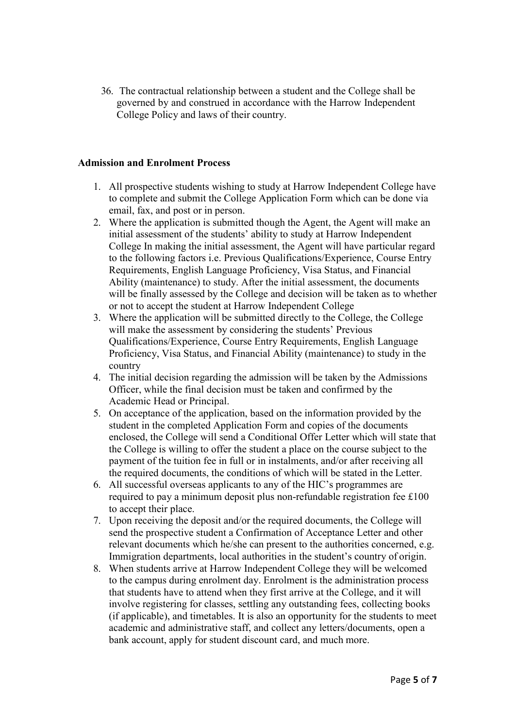36. The contractual relationship between a student and the College shall be governed by and construed in accordance with the Harrow Independent College Policy and laws of their country.

#### **Admission and Enrolment Process**

- 1. All prospective students wishing to study at Harrow Independent College have to complete and submit the College Application Form which can be done via email, fax, and post or in person.
- 2. Where the application is submitted though the Agent, the Agent will make an initial assessment of the students' ability to study at Harrow Independent College In making the initial assessment, the Agent will have particular regard to the following factors i.e. Previous Qualifications/Experience, Course Entry Requirements, English Language Proficiency, Visa Status, and Financial Ability (maintenance) to study. After the initial assessment, the documents will be finally assessed by the College and decision will be taken as to whether or not to accept the student at Harrow Independent College
- 3. Where the application will be submitted directly to the College, the College will make the assessment by considering the students' Previous Qualifications/Experience, Course Entry Requirements, English Language Proficiency, Visa Status, and Financial Ability (maintenance) to study in the country
- 4. The initial decision regarding the admission will be taken by the Admissions Officer, while the final decision must be taken and confirmed by the Academic Head or Principal.
- 5. On acceptance of the application, based on the information provided by the student in the completed Application Form and copies of the documents enclosed, the College will send a Conditional Offer Letter which will state that the College is willing to offer the student a place on the course subject to the payment of the tuition fee in full or in instalments, and/or after receiving all the required documents, the conditions of which will be stated in the Letter.
- 6. All successful overseas applicants to any of the HIC's programmes are required to pay a minimum deposit plus non-refundable registration fee £100 to accept their place.
- 7. Upon receiving the deposit and/or the required documents, the College will send the prospective student a Confirmation of Acceptance Letter and other relevant documents which he/she can present to the authorities concerned, e.g. Immigration departments, local authorities in the student's country of origin.
- 8. When students arrive at Harrow Independent College they will be welcomed to the campus during enrolment day. Enrolment is the administration process that students have to attend when they first arrive at the College, and it will involve registering for classes, settling any outstanding fees, collecting books (if applicable), and timetables. It is also an opportunity for the students to meet academic and administrative staff, and collect any letters/documents, open a bank account, apply for student discount card, and much more.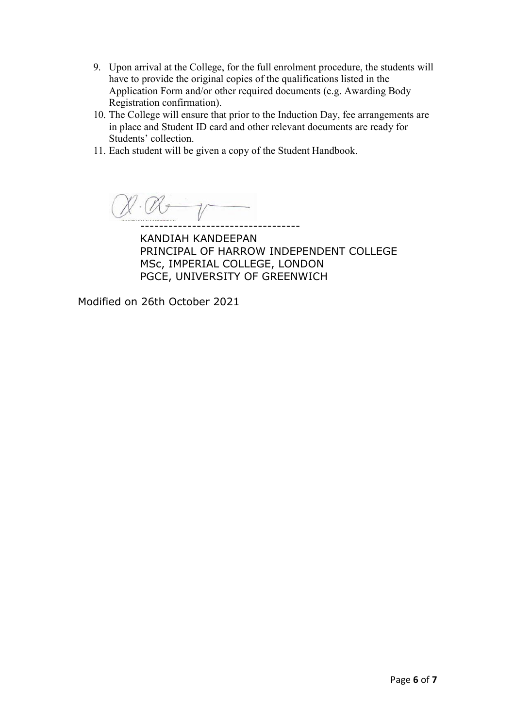- 9. Upon arrival at the College, for the full enrolment procedure, the students will have to provide the original copies of the qualifications listed in the Application Form and/or other required documents (e.g. Awarding Body Registration confirmation).
- 10. The College will ensure that prior to the Induction Day, fee arrangements are in place and Student ID card and other relevant documents are ready for Students' collection.
- 11. Each student will be given a copy of the Student Handbook.

 $\cdot$  ( $\mathcal{N}$  + ----------------------------------

KANDIAH KANDEEPAN PRINCIPAL OF HARROW INDEPENDENT COLLEGE MSc, IMPERIAL COLLEGE, LONDON PGCE, UNIVERSITY OF GREENWICH

Modified on 26th October 2021